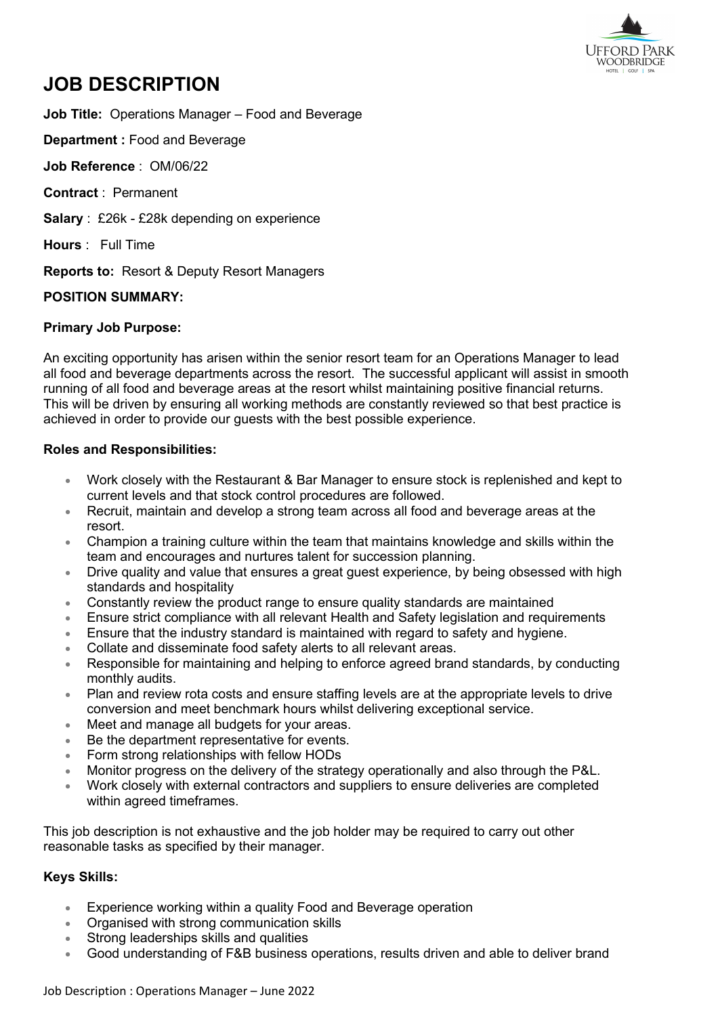

# **JOB DESCRIPTION**

**Job Title:** Operations Manager – Food and Beverage

**Department :** Food and Beverage

**Job Reference** : OM/06/22

**Contract** : Permanent

**Salary** : £26k - £28k depending on experience

**Hours** : Full Time

**Reports to:** Resort & Deputy Resort Managers

## **POSITION SUMMARY:**

## **Primary Job Purpose:**

An exciting opportunity has arisen within the senior resort team for an Operations Manager to lead all food and beverage departments across the resort. The successful applicant will assist in smooth running of all food and beverage areas at the resort whilst maintaining positive financial returns. This will be driven by ensuring all working methods are constantly reviewed so that best practice is achieved in order to provide our quests with the best possible experience.

#### **Roles and Responsibilities:**

- Work closely with the Restaurant & Bar Manager to ensure stock is replenished and kept to current levels and that stock control procedures are followed.
- Recruit, maintain and develop a strong team across all food and beverage areas at the resort.
- Champion a training culture within the team that maintains knowledge and skills within the team and encourages and nurtures talent for succession planning.
- Drive quality and value that ensures a great guest experience, by being obsessed with high standards and hospitality
- Constantly review the product range to ensure quality standards are maintained
- Ensure strict compliance with all relevant Health and Safety legislation and requirements
- Ensure that the industry standard is maintained with regard to safety and hygiene.
- Collate and disseminate food safety alerts to all relevant areas.
- Responsible for maintaining and helping to enforce agreed brand standards, by conducting monthly audits.
- Plan and review rota costs and ensure staffing levels are at the appropriate levels to drive conversion and meet benchmark hours whilst delivering exceptional service.
- Meet and manage all budgets for your areas.
- Be the department representative for events.
- Form strong relationships with fellow HODs
- Monitor progress on the delivery of the strategy operationally and also through the P&L.
- Work closely with external contractors and suppliers to ensure deliveries are completed within agreed timeframes.

This job description is not exhaustive and the job holder may be required to carry out other reasonable tasks as specified by their manager.

# **Keys Skills:**

- Experience working within a quality Food and Beverage operation
- Organised with strong communication skills
- Strong leaderships skills and qualities
- Good understanding of F&B business operations, results driven and able to deliver brand